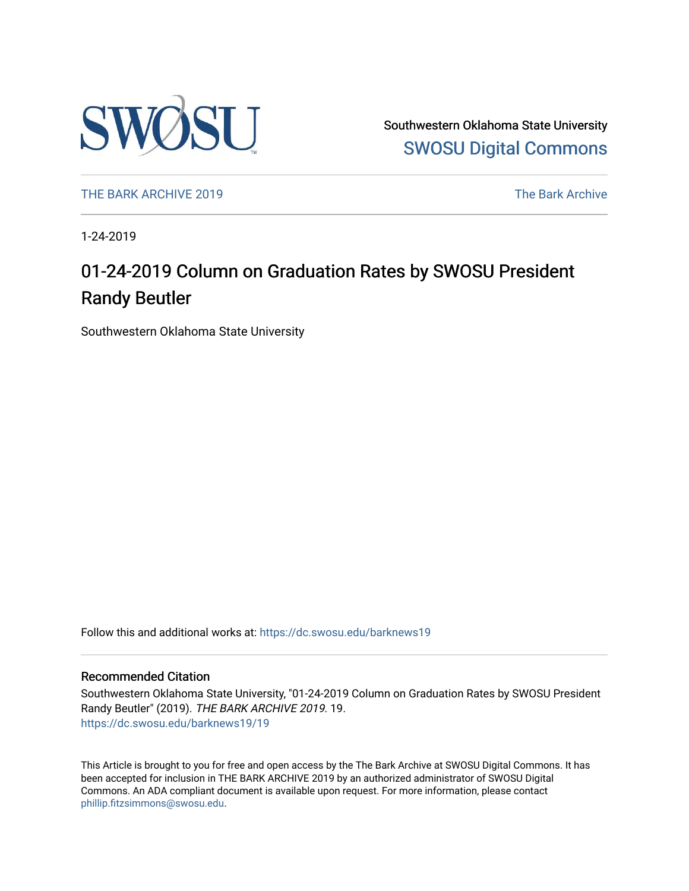

Southwestern Oklahoma State University [SWOSU Digital Commons](https://dc.swosu.edu/) 

[THE BARK ARCHIVE 2019](https://dc.swosu.edu/barknews19) The Bark Archive

1-24-2019

### 01-24-2019 Column on Graduation Rates by SWOSU President Randy Beutler

Southwestern Oklahoma State University

Follow this and additional works at: [https://dc.swosu.edu/barknews19](https://dc.swosu.edu/barknews19?utm_source=dc.swosu.edu%2Fbarknews19%2F19&utm_medium=PDF&utm_campaign=PDFCoverPages)

#### Recommended Citation

Southwestern Oklahoma State University, "01-24-2019 Column on Graduation Rates by SWOSU President Randy Beutler" (2019). THE BARK ARCHIVE 2019. 19. [https://dc.swosu.edu/barknews19/19](https://dc.swosu.edu/barknews19/19?utm_source=dc.swosu.edu%2Fbarknews19%2F19&utm_medium=PDF&utm_campaign=PDFCoverPages) 

This Article is brought to you for free and open access by the The Bark Archive at SWOSU Digital Commons. It has been accepted for inclusion in THE BARK ARCHIVE 2019 by an authorized administrator of SWOSU Digital Commons. An ADA compliant document is available upon request. For more information, please contact [phillip.fitzsimmons@swosu.edu](mailto:phillip.fitzsimmons@swosu.edu).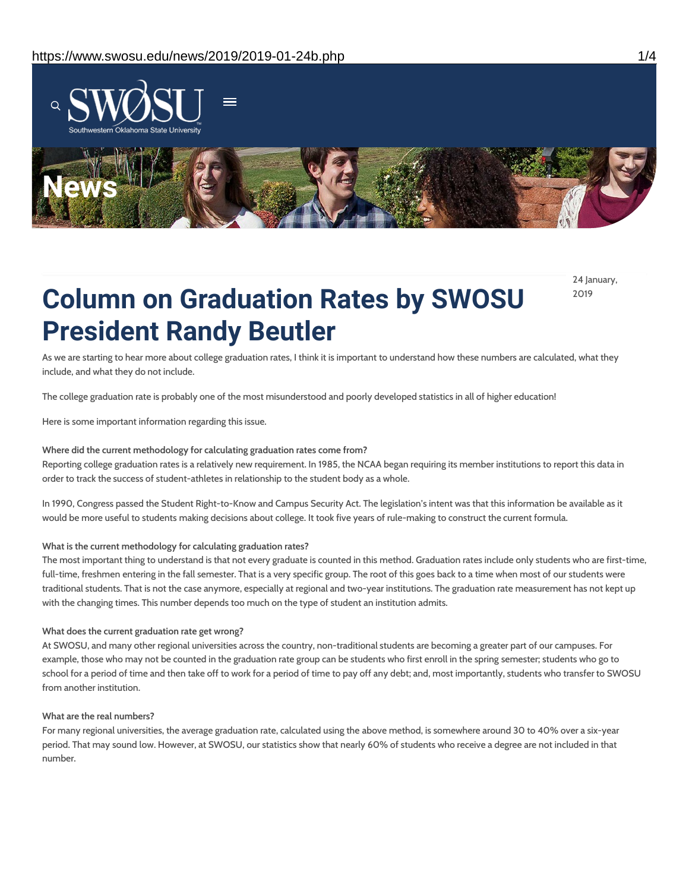

24 January, 2019

# **Column on Graduation Rates by SWOSU President Randy Beutler**

As we are starting to hear more about college graduation rates, I think it is important to understand how these numbers are calculated, what they include, and what they do not include.

The college graduation rate is probably one of the most misunderstood and poorly developed statistics in all of higher education!

Here is some important information regarding this issue.

#### **Where did the current methodology for calculating graduation rates come from?**

Reporting college graduation rates is a relatively new requirement. In 1985, the NCAA began requiring its member institutions to report this data in order to track the success of student-athletes in relationship to the student body as a whole.

In 1990, Congress passed the Student Right-to-Know and Campus Security Act. The legislation's intent was that this information be available as it would be more useful to students making decisions about college. It took five years of rule-making to construct the current formula.

#### **What is the current methodology for calculating graduation rates?**

The most important thing to understand is that not every graduate is counted in this method. Graduation rates include only students who are first-time, full-time, freshmen entering in the fall semester. That is a very specific group. The root of this goes back to a time when most of our students were traditional students. That is not the case anymore, especially at regional and two-year institutions. The graduation rate measurement has not kept up with the changing times. This number depends too much on the type of student an institution admits.

#### **What does the current graduation rate get wrong?**

At SWOSU, and many other regional universities across the country, non-traditional students are becoming a greater part of our campuses. For example, those who may not be counted in the graduation rate group can be students who first enroll in the spring semester; students who go to school for a period of time and then take off to work for a period of time to pay off any debt; and, most importantly, students who transfer to SWOSU from another institution.

#### **What are the real numbers?**

For many regional universities, the average graduation rate, calculated using the above method, is somewhere around 30 to 40% over a six-year period. That may sound low. However, at SWOSU, our statistics show that nearly 60% of students who receive a degree are not included in that number.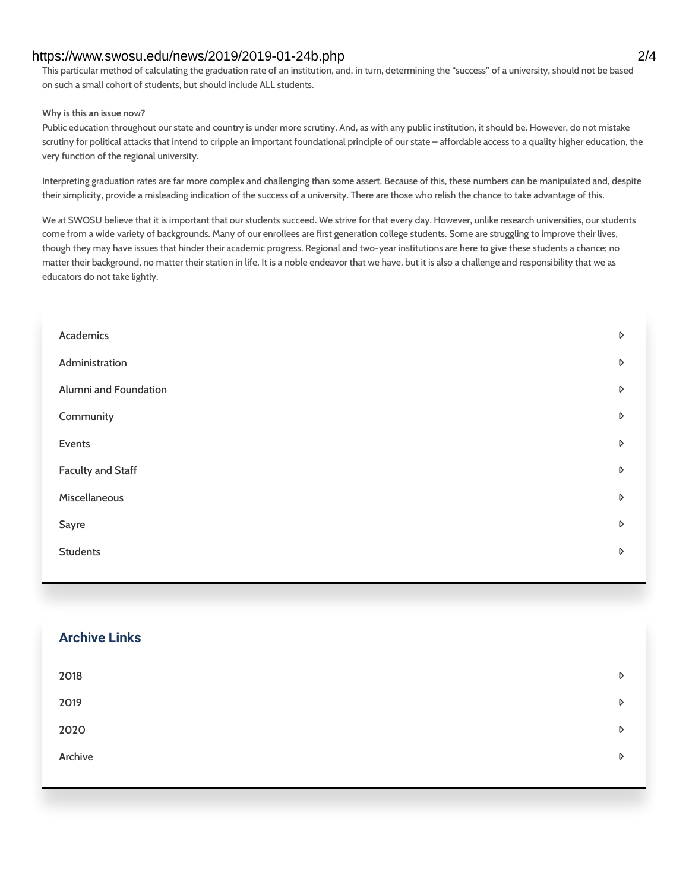#### https://www.swosu.edu/news/2019/2019-01-24b.php 2/4

This particular method of calculating the graduation rate of an institution, and, in turn, determining the "success" of a university, should not be based on such a small cohort of students, but should include ALL students.

#### **Why is this an issue now?**

Public education throughout our state and country is under more scrutiny. And, as with any public institution, it should be. However, do not mistake scrutiny for political attacks that intend to cripple an important foundational principle of our state – affordable access to a quality higher education, the very function of the regional university.

Interpreting graduation rates are far more complex and challenging than some assert. Because of this, these numbers can be manipulated and, despite their simplicity, provide a misleading indication of the success of a university. There are those who relish the chance to take advantage of this.

We at SWOSU believe that it is important that our students succeed. We strive for that every day. However, unlike research universities, our students come from a wide variety of backgrounds. Many of our enrollees are first generation college students. Some are struggling to improve their lives, though they may have issues that hinder their academic progress. Regional and two-year institutions are here to give these students a chance; no matter their background, no matter their station in life. It is a noble endeavor that we have, but it is also a challenge and responsibility that we as educators do not take lightly.

| Academics                | D |
|--------------------------|---|
| Administration           | D |
| Alumni and Foundation    | D |
| Community                | D |
| Events                   | D |
| <b>Faculty and Staff</b> | D |
| Miscellaneous            | D |
| Sayre                    | D |
| <b>Students</b>          | D |
|                          |   |

# **Archive Links**  $2018$  $2019$ [2020](https://www.swosu.edu/news/2020/index.php)  $\bullet$ [Archive](https://dc.swosu.edu/bark/) **Archive Archive Archive Archive Archive** Archive Archive Archive Archive Archive Archive Archive Archive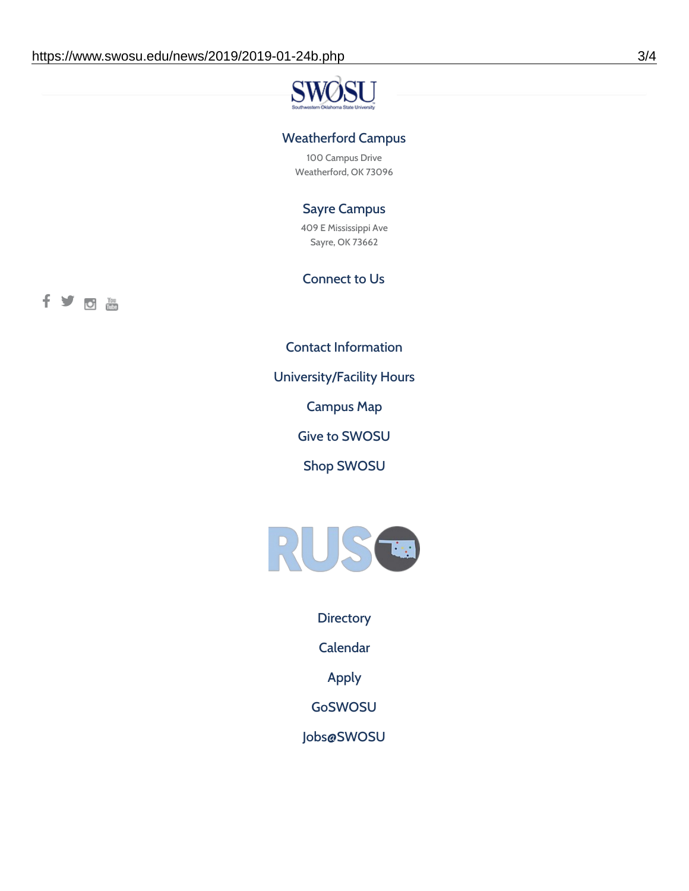#### Weatherford Campus

100 Campus Drive Weatherford, OK 73096

### Sayre Campus

409 E Mississippi Ave Sayre, OK 73662

### Connect to Us



Contact [Information](https://www.swosu.edu/about/contact.php)

[University/Facility](https://www.swosu.edu/about/operating-hours.php) Hours

[Campus](https://map.concept3d.com/?id=768#!ct/10964,10214,10213,10212,10205,10204,10203,10202,10136,10129,10128,0,31226,10130,10201,10641,0) Map

Give to [SWOSU](https://standingfirmly.com/donate)

Shop [SWOSU](https://shopswosu.merchorders.com/)



**[Directory](https://www.swosu.edu/directory/index.php)** 

[Calendar](https://eventpublisher.dudesolutions.com/swosu/)

[Apply](https://www.swosu.edu/admissions/apply-to-swosu.php)

[GoSWOSU](https://qlsso.quicklaunchsso.com/home/1267)

[Jobs@SWOSU](https://swosu.csod.com/ux/ats/careersite/1/home?c=swosu)